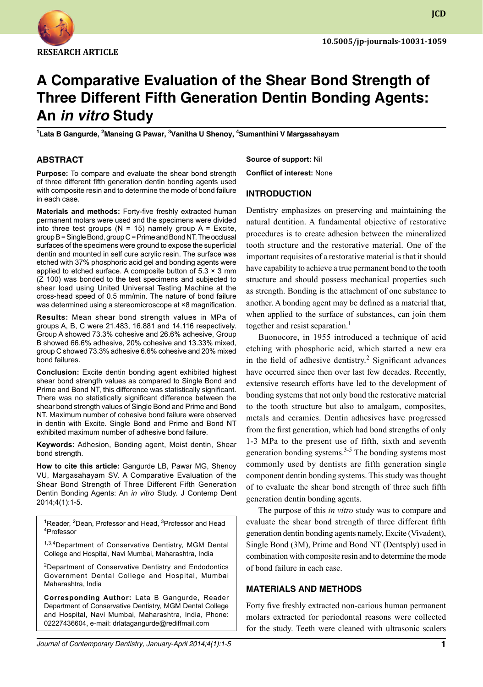

**JCD**

# **A Comparative Evaluation of the Shear Bond Strength of Three Different Fifth Generation Dentin Bonding Agents: An** *in vitro* **Study**

<sup>1</sup>Lata B Gangurde, <sup>2</sup>Mansing G Pawar, <sup>3</sup>Vanitha U Shenoy, <sup>4</sup>Sumanthini V Margasahayam

#### **ABSTRACT**

**Purpose:** To compare and evaluate the shear bond strength of three different fifth generation dentin bonding agents used with composite resin and to determine the mode of bond failure in each case.

**Materials and methods:** Forty-five freshly extracted human permanent molars were used and the specimens were divided into three test groups ( $N = 15$ ) namely group A = Excite, group  $B =$  Single Bond, group  $C =$  Prime and Bond NT. The occlusal surfaces of the specimens were ground to expose the superficial dentin and mounted in self cure acrylic resin. The surface was etched with 37% phosphoric acid gel and bonding agents were applied to etched surface. A composite button of  $5.3 \times 3$  mm (Z 100) was bonded to the test specimens and subjected to shear load using United Universal Testing Machine at the cross-head speed of 0.5 mm/min. The nature of bond failure was determined using a stereomicroscope at ×8 magnification.

**Results:** Mean shear bond strength values in MPa of groups A, B, C were 21.483, 16.881 and 14.116 respectively. Group A showed 73.3% cohesive and 26.6% adhesive, Group B showed 66.6% adhesive, 20% cohesive and 13.33% mixed, group C showed 73.3% adhesive 6.6% cohesive and 20% mixed bond failures.

**Conclusion:** Excite dentin bonding agent exhibited highest shear bond strength values as compared to Single Bond and Prime and Bond NT, this difference was statistically significant. There was no statistically significant difference between the shear bond strength values of Single Bond and Prime and Bond NT. Maximum number of cohesive bond failure were observed in dentin with Excite. Single Bond and Prime and Bond NT exhibited maximum number of adhesive bond failure.

Keywords: Adhesion, Bonding agent, Moist dentin, Shear bond strength.

**How to cite this article:** Gangurde LB, Pawar MG, Shenoy vU, Margasahayam SV. A Comparative Evaluation of the Shear Bond Strength of Three Different Fifth Generation Dentin Bonding Agents: An *in vitro* Study. J Contemp Dent 2014;4(1):1-5.

<sup>1</sup>Reader, <sup>2</sup>Dean, Professor and Head, <sup>3</sup>Professor and Head 4 Professor

<sup>1,3,4</sup>Department of Conservative Dentistry, MGM Dental College and Hospital, Navi Mumbai, Maharashtra, India

<sup>2</sup>Department of Conservative Dentistry and Endodontics Government Dental College and Hospital, Mumbai Maharashtra, India

**Corresponding Author:** Lata B Gangurde, Reader Department of Conservative Dentistry, MGM Dental College and Hospital, Navi Mumbai, Maharashtra, India, Phone: 02227436604, e-mail: drlatagangurde@rediffmail.com

**Source of support:** Nil **Conflict of interest:** None

#### **Introduction**

Dentistry emphasizes on preserving and maintaining the natural dentition. A fundamental objective of restorative procedures is to create adhesion between the mineralized tooth structure and the restorative material. One of the important requisites of a restorative material is that it should have capability to achieve a true permanent bond to the tooth structure and should possess mechanical properties such as strength. Bonding is the attachment of one substance to another. A bonding agent may be defined as a material that, when applied to the surface of substances, can join them together and resist separation.<sup>1</sup>

Buonocore, in 1955 introduced a technique of acid etching with phosphoric acid, which started a new era in the field of adhesive dentistry.<sup>2</sup> Significant advances have occurred since then over last few decades. Recently, extensive research efforts have led to the development of bonding systems that not only bond the restorative material to the tooth structure but also to amalgam, composites, metals and ceramics. Dentin adhesives have progressed from the first generation, which had bond strengths of only 1-3 MPa to the present use of fifth, sixth and seventh generation bonding systems. $3-5$  The bonding systems most commonly used by dentists are fifth generation single component dentin bonding systems. This study was thought of to evaluate the shear bond strength of three such fifth generation dentin bonding agents.

The purpose of this *in vitro* study was to compare and evaluate the shear bond strength of three different fifth generation dentin bonding agents namely, Excite (Vivadent), Single Bond (3M), Prime and Bond NT (Dentsply) used in combination with composite resin and to determine the mode of bond failure in each case.

# **MATERIALS AND METHODS**

Forty five freshly extracted non-carious human permanent molars extracted for periodontal reasons were collected for the study. Teeth were cleaned with ultrasonic scalers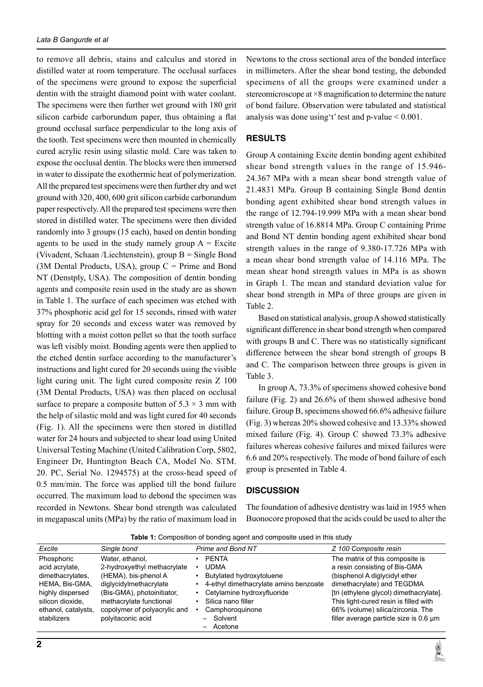to remove all debris, stains and calculus and stored in distilled water at room temperature. The occlusal surfaces of the specimens were ground to expose the superficial dentin with the straight diamond point with water coolant. The specimens were then further wet ground with 180 grit silicon carbide carborundum paper, thus obtaining a flat ground occlusal surface perpendicular to the long axis of the tooth. Test specimens were then mounted in chemically cured acrylic resin using silastic mold. Care was taken to expose the occlusal dentin. The blocks were then immersed in water to dissipate the exothermic heat of polymerization. All the prepared test specimens were then further dry and wet ground with 320, 400, 600 grit silicon carbide carborundum paper respectively. All the prepared test specimens were then stored in distilled water. The specimens were then divided randomly into 3 groups (15 each), based on dentin bonding agents to be used in the study namely group  $A =$  Excite (Vivadent, Schaan /Liechtenstein), group B = Single Bond (3M Dental Products, USA), group  $C =$  Prime and Bond NT (Denstply, USA). The composition of dentin bonding agents and composite resin used in the study are as shown in Table 1. The surface of each specimen was etched with 37% phosphoric acid gel for 15 seconds, rinsed with water spray for 20 seconds and excess water was removed by blotting with a moist cotton pellet so that the tooth surface was left visibly moist. Bonding agents were then applied to the etched dentin surface according to the manufacturer's instructions and light cured for 20 seconds using the visible light curing unit. The light cured composite resin Z 100 (3M Dental Products, USA) was then placed on occlusal surface to prepare a composite button of  $5.3 \times 3$  mm with the help of silastic mold and was light cured for 40 seconds (Fig. 1). All the specimens were then stored in distilled water for 24 hours and subjected to shear load using United Universal Testing Machine (United Calibration Corp, 5802, Engineer Dr, Huntington Beach CA, Model No. STM. 20. PC, Serial No. 1294575) at the cross-head speed of 0.5 mm/min. The force was applied till the bond failure occurred. The maximum load to debond the specimen was recorded in Newtons. Shear bond strength was calculated in megapascal units (MPa) by the ratio of maximum load in

Newtons to the cross sectional area of the bonded interface in millimeters. After the shear bond testing, the debonded specimens of all the groups were examined under a stereomicroscope at ×8 magnification to determine the nature of bond failure. Observation were tabulated and statistical analysis was done using 't' test and  $p$ -value  $\leq 0.001$ .

## **RESULTS**

Group A containing Excite dentin bonding agent exhibited shear bond strength values in the range of 15.946- 24.367 MPa with a mean shear bond strength value of 21.4831 MPa. Group B containing Single Bond dentin bonding agent exhibited shear bond strength values in the range of 12.794-19.999 MPa with a mean shear bond strength value of 16.8814 MPa. Group C containing Prime and Bond NT dentin bonding agent exhibited shear bond strength values in the range of 9.380-17.726 MPa with a mean shear bond strength value of 14.116 MPa. The mean shear bond strength values in MPa is as shown in Graph 1. The mean and standard deviation value for shear bond strength in MPa of three groups are given in Table 2.

Based on statistical analysis, group A showed statistically significant difference in shear bond strength when compared with groups B and C. There was no statistically significant difference between the shear bond strength of groups B and C. The comparison between three groups is given in Table 3.

In group A, 73.3% of specimens showed cohesive bond failure (fig. 2) and 26.6% of them showed adhesive bond failure. Group B, specimens showed 66.6% adhesive failure (fig. 3) whereas 20% showed cohesive and 13.33% showed mixed failure (fig. 4). Group C showed 73.3% adhesive failures whereas cohesive failures and mixed failures were 6.6 and 20% respectively. The mode of bond failure of each group is presented in Table 4.

#### **DISCUSSION**

The foundation of adhesive dentistry was laid in 1955 when Buonocore proposed that the acids could be used to alter the

| Excite              | Single bond                  | Prime and Bond NT                     | Z 100 Composite resin                   |  |  |
|---------------------|------------------------------|---------------------------------------|-----------------------------------------|--|--|
| Phosphoric          | Water, ethanol.              | <b>PFNTA</b>                          | The matrix of this composite is         |  |  |
| acid acrylate.      | 2-hydroxyethyl methacrylate  | <b>UDMA</b>                           | a resin consisting of Bis-GMA           |  |  |
| dimethacrylates.    | (HEMA), bis-phenol A         | Butylated hydroxytoluene              | (bisphenol A diglycidyl ether           |  |  |
| HEMA, Bis-GMA.      | diglycidylmethacrylate       | 4-ethyl dimethacrylate amino benzoate | dimethacrylate) and TEGDMA              |  |  |
| highly dispersed    | (Bis-GMA), photoinitiator,   | Cetylamine hydroxyfluoride            | [tri (ethylene glycol) dimethacrylate]. |  |  |
| silicon dioxide.    | methacrylate functional      | Silica nano filler                    | This light-cured resin is filled with   |  |  |
| ethanol, catalysts, | copolymer of polyacrylic and | Camphoroguinone                       | 66% (volume) silica/zirconia. The       |  |  |
| stabilizers         | polyitaconic acid            | - Solvent                             | filler average particle size is 0.6 um  |  |  |
|                     |                              | - Acetone                             |                                         |  |  |

**Table 1:** Composition of bonding agent and composite used in this study

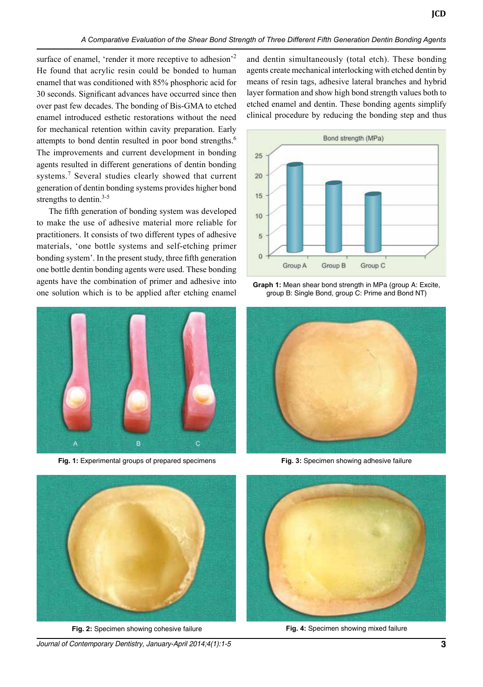surface of enamel, 'render it more receptive to adhesion'<sup>2</sup> He found that acrylic resin could be bonded to human enamel that was conditioned with 85% phosphoric acid for 30 seconds. Significant advances have occurred since then over past few decades. The bonding of Bis-GMA to etched enamel introduced esthetic restorations without the need for mechanical retention within cavity preparation. Early attempts to bond dentin resulted in poor bond strengths.<sup>6</sup> The improvements and current development in bonding agents resulted in different generations of dentin bonding systems.<sup>7</sup> Several studies clearly showed that current generation of dentin bonding systems provides higher bond strengths to dentin.<sup>3-5</sup>

The fifth generation of bonding system was developed to make the use of adhesive material more reliable for practitioners. It consists of two different types of adhesive materials, 'one bottle systems and self-etching primer bonding system'. In the present study, three fifth generation one bottle dentin bonding agents were used. These bonding agents have the combination of primer and adhesive into one solution which is to be applied after etching enamel



**Fig. 1:** Experimental groups of prepared specimens

and dentin simultaneously (total etch). These bonding agents create mechanical interlocking with etched dentin by means of resin tags, adhesive lateral branches and hybrid layer formation and show high bond strength values both to etched enamel and dentin. These bonding agents simplify clinical procedure by reducing the bonding step and thus



**Graph 1:** Mean shear bond strength in MPa (group A: Excite, group B: Single Bond, group C: Prime and Bond NT)



**Fig. 3:** Specimen showing adhesive failure



**Fig. 2:** Specimen showing cohesive failure

*Journal of Contemporary Dentistry, January-April 2014;4(1):1-5* **3**



**Fig. 4:** Specimen showing mixed failure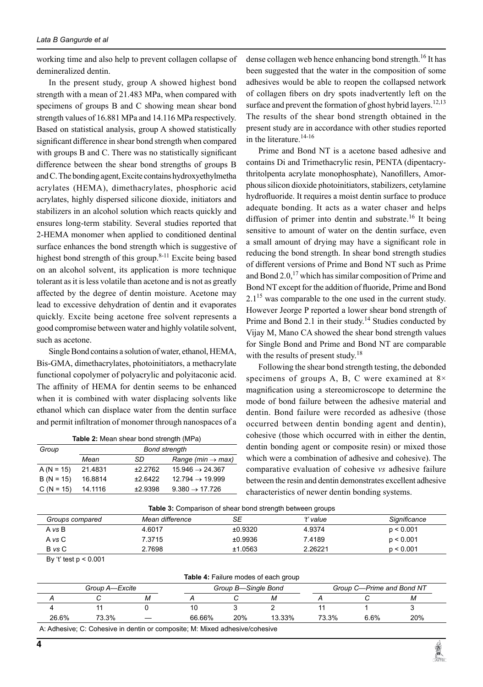working time and also help to prevent collagen collapse of demineralized dentin.

In the present study, group A showed highest bond strength with a mean of 21.483 MPa, when compared with specimens of groups B and C showing mean shear bond strength values of 16.881 MPa and 14.116 MPa respectively. Based on statistical analysis, group A showed statistically significant difference in shear bond strength when compared with groups B and C. There was no statistically significant difference between the shear bond strengths of groups B and C. The bonding agent, Excite contains hydroxyethylmetha acrylates (HEMA), dimethacrylates, phosphoric acid acrylates, highly dispersed silicone dioxide, initiators and stabilizers in an alcohol solution which reacts quickly and ensures long-term stability. Several studies reported that 2-HEMA monomer when applied to conditioned dentinal surface enhances the bond strength which is suggestive of highest bond strength of this group. $8-11$  Excite being based on an alcohol solvent, its application is more technique tolerant as it is less volatile than acetone and is not as greatly affected by the degree of dentin moisture. Acetone may lead to excessive dehydration of dentin and it evaporates quickly. Excite being acetone free solvent represents a good compromise between water and highly volatile solvent, such as acetone.

Single Bond contains a solution of water, ethanol, HEMA, Bis-GMA, dimethacrylates, photoinitiators, a methacrylate functional copolymer of polyacrylic and polyitaconic acid. The affinity of HEMA for dentin seems to be enhanced when it is combined with water displacing solvents like ethanol which can displace water from the dentin surface and permit infiltration of monomer through nanospaces of a

| Group        | <b>Bond strength</b> |           |                               |  |
|--------------|----------------------|-----------|-------------------------------|--|
|              | Mean                 | SD        | Range (min $\rightarrow$ max) |  |
| $A (N = 15)$ | 21.4831              | ±2.2762   | $15.946 \rightarrow 24.367$   |  |
| $B (N = 15)$ | 16.8814              | $+2.6422$ | $12.794 \rightarrow 19.999$   |  |
| $C (N = 15)$ | 14.1116              | ±2.9398   | $9.380 \rightarrow 17.726$    |  |

dense collagen web hence enhancing bond strength.<sup>16</sup> It has been suggested that the water in the composition of some adhesives would be able to reopen the collapsed network of collagen fibers on dry spots inadvertently left on the surface and prevent the formation of ghost hybrid layers.<sup>12,13</sup> The results of the shear bond strength obtained in the present study are in accordance with other studies reported in the literature. $14-16$ 

Prime and Bond NT is a acetone based adhesive and contains Di and Trimethacrylic resin, PENTA (dipentacrythritolpenta acrylate monophosphate), Nanofillers, Amorphous silicon dioxide photoinitiators, stabilizers, cetylamine hydrofluoride. It requires a moist dentin surface to produce adequate bonding. It acts as a water chaser and helps diffusion of primer into dentin and substrate.<sup>16</sup> It being sensitive to amount of water on the dentin surface, even a small amount of drying may have a significant role in reducing the bond strength. In shear bond strength studies of different versions of Prime and Bond NT such as Prime and Bond 2.0,<sup>17</sup> which has similar composition of Prime and Bond NT except for the addition of fluoride, Prime and Bond  $2.1<sup>15</sup>$  was comparable to the one used in the current study. However Jeorge P reported a lower shear bond strength of Prime and Bond 2.1 in their study.<sup>14</sup> Studies conducted by Vijay M, Mano CA showed the shear bond strength values for Single Bond and Prime and Bond NT are comparable with the results of present study.<sup>18</sup>

Following the shear bond strength testing, the debonded specimens of groups A, B, C were examined at  $8\times$ magnification using a stereomicroscope to determine the mode of bond failure between the adhesive material and dentin. Bond failure were recorded as adhesive (those occurred between dentin bonding agent and dentin), cohesive (those which occurred with in either the dentin, dentin bonding agent or composite resin) or mixed those which were a combination of adhesive and cohesive). The comparative evaluation of cohesive *vs* adhesive failure between the resin and dentin demonstrates excellent adhesive characteristics of newer dentin bonding systems.

| <b>Table 3:</b> Comparison of shear bond strength between groups |                 |         |           |              |  |
|------------------------------------------------------------------|-----------------|---------|-----------|--------------|--|
| Groups compared                                                  | Mean difference | SE      | ʻt' value | Significance |  |
| A vs B                                                           | 4.6017          | ±0.9320 | 4.9374    | p < 0.001    |  |
| A vs C                                                           | 7.3715          | ±0.9936 | 7.4189    | p < 0.001    |  |
| B vs C                                                           | 2.7698          | ±1.0563 | 2.26221   | p < 0.001    |  |

By 't' test p < 0.001

| <b>Table 4: Failure modes of each group</b> |  |
|---------------------------------------------|--|
|---------------------------------------------|--|

| Group A—Excite |       |                                 |        | Group B—Single Bond |        | Group C-Prime and Bond NT |      |     |  |
|----------------|-------|---------------------------------|--------|---------------------|--------|---------------------------|------|-----|--|
|                |       | M                               |        |                     | M      |                           |      | м   |  |
|                |       |                                 |        |                     |        |                           |      |     |  |
| 26.6%          | 73.3% | $\overbrace{\phantom{1232211}}$ | 66.66% | 20%                 | 13.33% | 73.3%                     | 6.6% | 20% |  |
|                |       |                                 |        |                     |        |                           |      |     |  |

A: Adhesive; C: Cohesive in dentin or composite; M: Mixed adhesive/cohesive